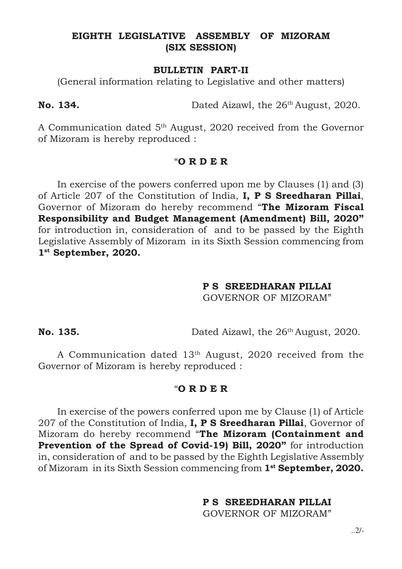# EIGHTH LEGISLATIVE ASSEMBLY OF MIZORAM (SIX SESSION)

## BULLETIN PART-II

(General information relating to Legislative and other matters)

No. 134. Dated Aizawl, the 26<sup>th</sup> August, 2020.

A Communication dated 5th August, 2020 received from the Governor of Mizoram is hereby reproduced :

#### $"OR$  R D E R

In exercise of the powers conferred upon me by Clauses (1) and (3) of Article 207 of the Constitution of India, I, P S Sreedharan Pillai, Governor of Mizoram do hereby recommend "The Mizoram Fiscal Responsibility and Budget Management (Amendment) Bill, 2020" for introduction in, consideration of and to be passed by the Eighth Legislative Assembly of Mizoram in its Sixth Session commencing from 1 st September, 2020.

# P S SREEDHARAN PILLAI

GOVERNOR OF MIZORAM"

No. 135. Dated Aizawl, the 26<sup>th</sup> August, 2020.

A Communication dated 13th August, 2020 received from the Governor of Mizoram is hereby reproduced :

# "O R D E R

In exercise of the powers conferred upon me by Clause (1) of Article 207 of the Constitution of India, I, P S Sreedharan Pillai, Governor of Mizoram do hereby recommend "The Mizoram (Containment and Prevention of the Spread of Covid-19) Bill, 2020" for introduction in, consideration of and to be passed by the Eighth Legislative Assembly of Mizoram in its Sixth Session commencing from 1<sup>st</sup> September, 2020.

# P S SREEDHARAN PILLAI

GOVERNOR OF MIZORAM"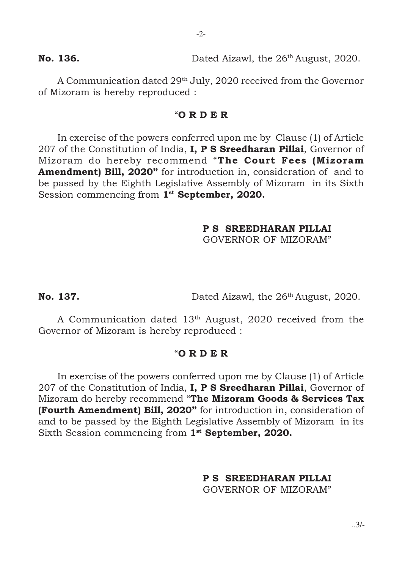No. 136. Dated Aizawl, the 26<sup>th</sup> August, 2020.

A Communication dated 29th July, 2020 received from the Governor of Mizoram is hereby reproduced :

# "O R D E R

In exercise of the powers conferred upon me by Clause (1) of Article 207 of the Constitution of India, **I, P S Sreedharan Pillai**, Governor of Mizoram do hereby recommend "The Court Fees (Mizoram Amendment) Bill, 2020" for introduction in, consideration of and to be passed by the Eighth Legislative Assembly of Mizoram in its Sixth Session commencing from 1<sup>st</sup> September, 2020.

# P S SREEDHARAN PILLAI

GOVERNOR OF MIZORAM"

No. 137. Dated Aizawl, the 26<sup>th</sup> August, 2020.

A Communication dated 13th August, 2020 received from the Governor of Mizoram is hereby reproduced :

#### "O R D E R

In exercise of the powers conferred upon me by Clause (1) of Article 207 of the Constitution of India, I, P S Sreedharan Pillai, Governor of Mizoram do hereby recommend "The Mizoram Goods & Services Tax (Fourth Amendment) Bill, 2020" for introduction in, consideration of and to be passed by the Eighth Legislative Assembly of Mizoram in its Sixth Session commencing from 1<sup>st</sup> September, 2020.

P S SREEDHARAN PILLAI

GOVERNOR OF MIZORAM"